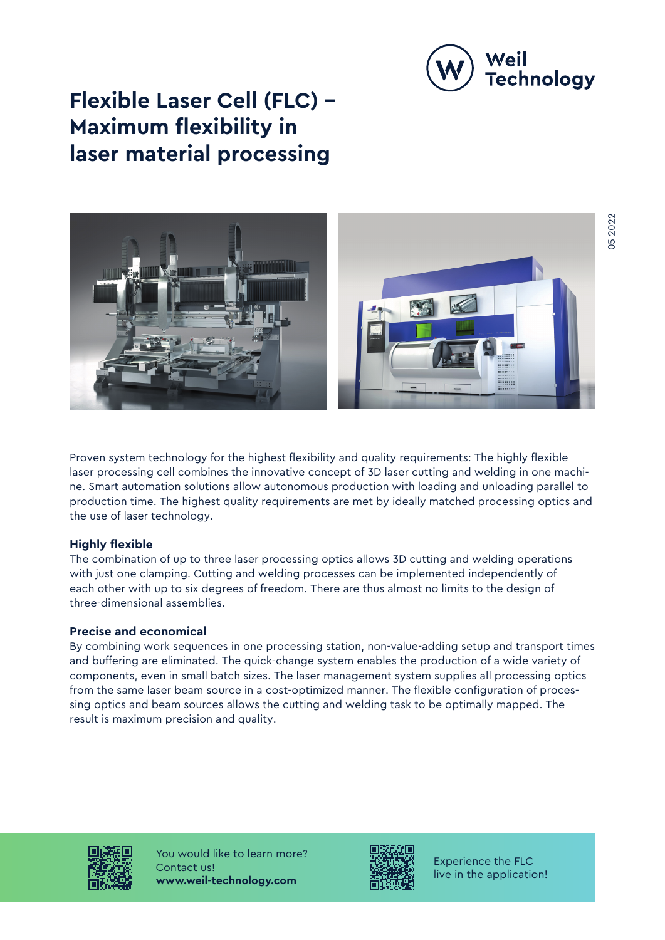

# **Flexible Laser Cell (FLC) – Maximum flexibility in laser material processing**



Proven system technology for the highest flexibility and quality requirements: The highly flexible laser processing cell combines the innovative concept of 3D laser cutting and welding in one machine. Smart automation solutions allow autonomous production with loading and unloading parallel to production time. The highest quality requirements are met by ideally matched processing optics and the use of laser technology.

#### **Highly flexible**

The combination of up to three laser processing optics allows 3D cutting and welding operations with just one clamping. Cutting and welding processes can be implemented independently of each other with up to six degrees of freedom. There are thus almost no limits to the design of three-dimensional assemblies.

# **Precise and economical**

By combining work sequences in one processing station, non-value-adding setup and transport times and buffering are eliminated. The quick-change system enables the production of a wide variety of components, even in small batch sizes. The laser management system supplies all processing optics from the same laser beam source in a cost-optimized manner. The flexible configuration of processing optics and beam sources allows the cutting and welding task to be optimally mapped. The result is maximum precision and quality.



You would like to learn more? Contact us! **www.weil-technology.com**



Experience the FLC live in the application!